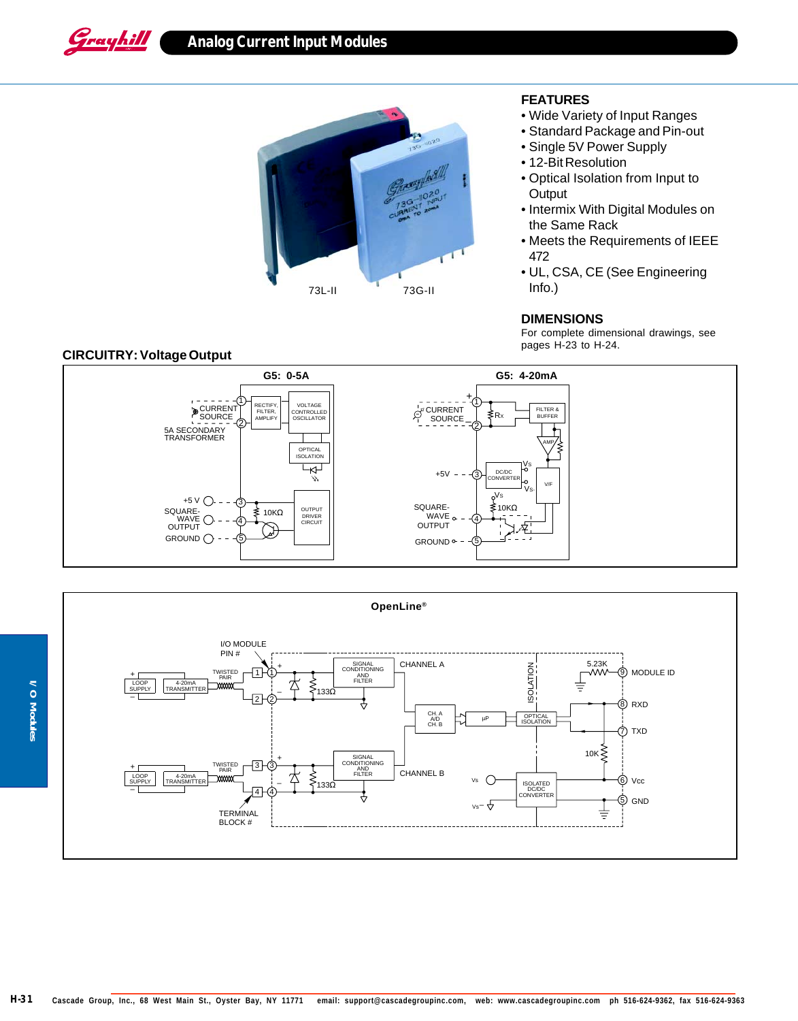Grayhill

## **Analog Current Input Modules**



## **FEATURES**

- Wide Variety of Input Ranges
- Standard Package and Pin-out
- Single 5V Power Supply
- 12-Bit Resolution
- Optical Isolation from Input to **Output**
- Intermix With Digital Modules on the Same Rack
- Meets the Requirements of IEEE 472
- UL, CSA, CE (See Engineering Info.)

## **DIMENSIONS**

For complete dimensional drawings, see pages H-23 to H-24.